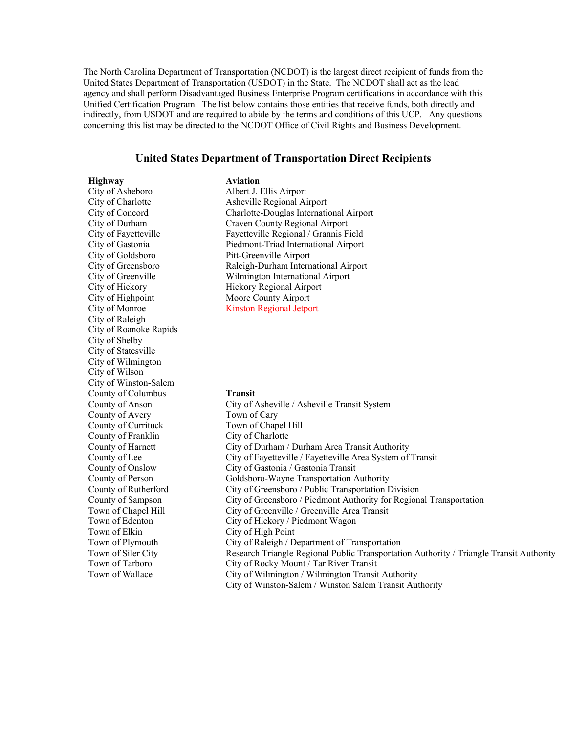The North Carolina Department of Transportation (NCDOT) is the largest direct recipient of funds from the United States Department of Transportation (USDOT) in the State. The NCDOT shall act as the lead agency and shall perform Disadvantaged Business Enterprise Program certifications in accordance with this Unified Certification Program. The list below contains those entities that receive funds, both directly and indirectly, from USDOT and are required to abide by the terms and conditions of this UCP. Any questions concerning this list may be directed to the NCDOT Office of Civil Rights and Business Development.

#### **United States Department of Transportation Direct Recipients**

**Highway Aviation** City of Asheboro Albert J. Ellis Airport City of Goldsboro Pitt-Greenville Airport City of Highpoint Moore County Airport City of Monroe Kinston Regional Jetport City of Raleigh City of Roanoke Rapids City of Shelby City of Statesville City of Wilmington City of Wilson City of Winston-Salem County of Columbus **Transit** County of Avery Town of Cary County of Currituck Town of Chapel Hill County of Franklin City of Charlotte Town of Elkin City of High Point

City of Charlotte Asheville Regional Airport City of Concord Charlotte-Douglas International Airport City of Durham Craven County Regional Airport City of Fayetteville Fayetteville Regional / Grannis Field City of Gastonia Piedmont-Triad International Airport City of Greensboro Raleigh-Durham International Airport City of Greenville Wilmington International Airport City of Hickory Hickory Regional Airport

County of Anson City of Asheville / Asheville Transit System County of Harnett City of Durham / Durham Area Transit Authority County of Lee City of Fayetteville / Fayetteville Area System of Transit County of Onslow City of Gastonia / Gastonia Transit County of Person Goldsboro-Wayne Transportation Authority County of Rutherford City of Greensboro / Public Transportation Division County of Sampson City of Greensboro / Piedmont Authority for Regional Transportation Town of Chapel Hill City of Greenville / Greenville Area Transit Town of Edenton City of Hickory / Piedmont Wagon Town of Plymouth City of Raleigh / Department of Transportation Town of Siler City Research Triangle Regional Public Transportation Authority / Triangle Transit Authority Town of Tarboro City of Rocky Mount / Tar River Transit Town of Wallace City of Wilmington / Wilmington Transit Authority City of Winston-Salem / Winston Salem Transit Authority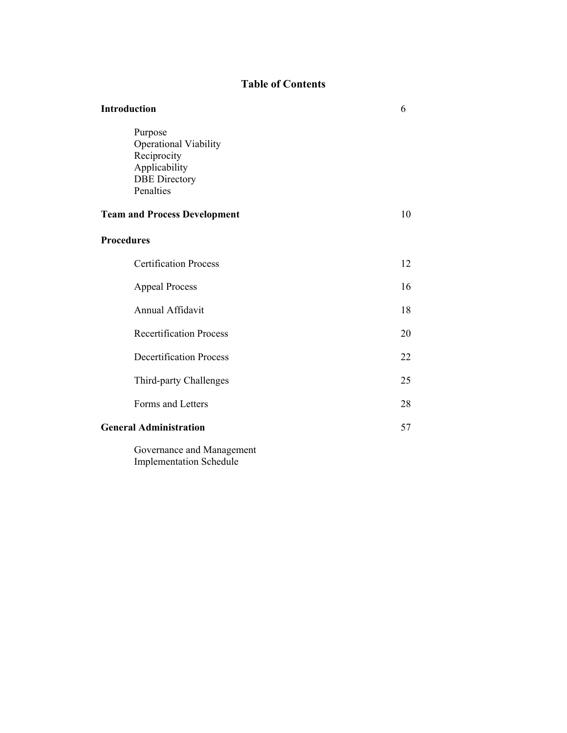# **Table of Contents**

| <b>Introduction</b>                                                                                          | 6  |
|--------------------------------------------------------------------------------------------------------------|----|
| Purpose<br><b>Operational Viability</b><br>Reciprocity<br>Applicability<br><b>DBE</b> Directory<br>Penalties |    |
| <b>Team and Process Development</b>                                                                          | 10 |
| <b>Procedures</b>                                                                                            |    |
| <b>Certification Process</b>                                                                                 | 12 |
| <b>Appeal Process</b>                                                                                        | 16 |
| Annual Affidavit                                                                                             | 18 |
| <b>Recertification Process</b>                                                                               | 20 |
| <b>Decertification Process</b>                                                                               | 22 |
| Third-party Challenges                                                                                       | 25 |
| Forms and Letters                                                                                            | 28 |
| <b>General Administration</b>                                                                                | 57 |
| Governance and Management                                                                                    |    |

Implementation Schedule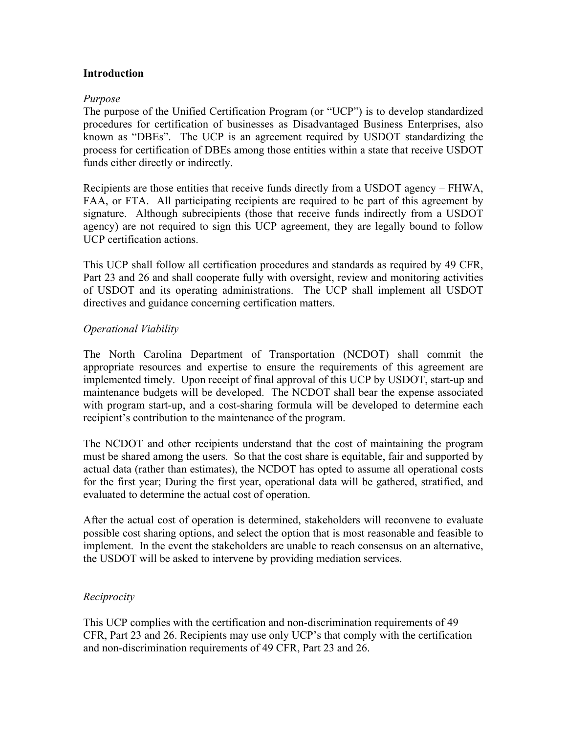#### **Introduction**

#### *Purpose*

The purpose of the Unified Certification Program (or "UCP") is to develop standardized procedures for certification of businesses as Disadvantaged Business Enterprises, also known as "DBEs". The UCP is an agreement required by USDOT standardizing the process for certification of DBEs among those entities within a state that receive USDOT funds either directly or indirectly.

Recipients are those entities that receive funds directly from a USDOT agency – FHWA, FAA, or FTA. All participating recipients are required to be part of this agreement by signature. Although subrecipients (those that receive funds indirectly from a USDOT agency) are not required to sign this UCP agreement, they are legally bound to follow UCP certification actions.

This UCP shall follow all certification procedures and standards as required by 49 CFR, Part 23 and 26 and shall cooperate fully with oversight, review and monitoring activities of USDOT and its operating administrations. The UCP shall implement all USDOT directives and guidance concerning certification matters.

#### *Operational Viability*

The North Carolina Department of Transportation (NCDOT) shall commit the appropriate resources and expertise to ensure the requirements of this agreement are implemented timely. Upon receipt of final approval of this UCP by USDOT, start-up and maintenance budgets will be developed. The NCDOT shall bear the expense associated with program start-up, and a cost-sharing formula will be developed to determine each recipient's contribution to the maintenance of the program.

The NCDOT and other recipients understand that the cost of maintaining the program must be shared among the users. So that the cost share is equitable, fair and supported by actual data (rather than estimates), the NCDOT has opted to assume all operational costs for the first year; During the first year, operational data will be gathered, stratified, and evaluated to determine the actual cost of operation.

After the actual cost of operation is determined, stakeholders will reconvene to evaluate possible cost sharing options, and select the option that is most reasonable and feasible to implement. In the event the stakeholders are unable to reach consensus on an alternative, the USDOT will be asked to intervene by providing mediation services.

#### *Reciprocity*

This UCP complies with the certification and non-discrimination requirements of 49 CFR, Part 23 and 26. Recipients may use only UCP's that comply with the certification and non-discrimination requirements of 49 CFR, Part 23 and 26.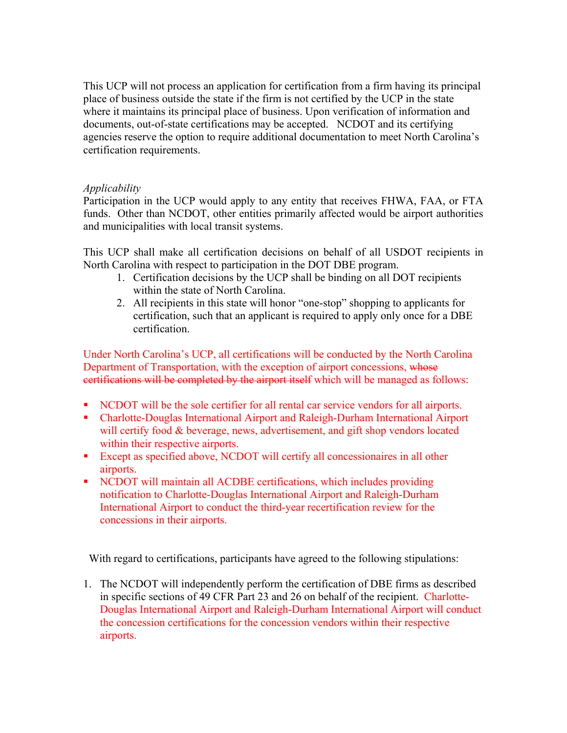This UCP will not process an application for certification from a firm having its principal place of business outside the state if the firm is not certified by the UCP in the state where it maintains its principal place of business. Upon verification of information and documents, out-of-state certifications may be accepted. NCDOT and its certifying agencies reserve the option to require additional documentation to meet North Carolina's certification requirements.

## *Applicability*

Participation in the UCP would apply to any entity that receives FHWA, FAA, or FTA funds. Other than NCDOT, other entities primarily affected would be airport authorities and municipalities with local transit systems.

This UCP shall make all certification decisions on behalf of all USDOT recipients in North Carolina with respect to participation in the DOT DBE program.

- 1. Certification decisions by the UCP shall be binding on all DOT recipients within the state of North Carolina.
- 2. All recipients in this state will honor "one-stop" shopping to applicants for certification, such that an applicant is required to apply only once for a DBE certification.

Under North Carolina's UCP, all certifications will be conducted by the North Carolina Department of Transportation, with the exception of airport concessions, whose certifications will be completed by the airport itself which will be managed as follows:

- NCDOT will be the sole certifier for all rental car service vendors for all airports.
- Charlotte-Douglas International Airport and Raleigh-Durham International Airport will certify food & beverage, news, advertisement, and gift shop vendors located within their respective airports.
- Except as specified above, NCDOT will certify all concessionaires in all other airports.
- NCDOT will maintain all ACDBE certifications, which includes providing notification to Charlotte-Douglas International Airport and Raleigh-Durham International Airport to conduct the third-year recertification review for the concessions in their airports.

With regard to certifications, participants have agreed to the following stipulations:

1. The NCDOT will independently perform the certification of DBE firms as described in specific sections of 49 CFR Part 23 and 26 on behalf of the recipient. Charlotte-Douglas International Airport and Raleigh-Durham International Airport will conduct the concession certifications for the concession vendors within their respective airports.